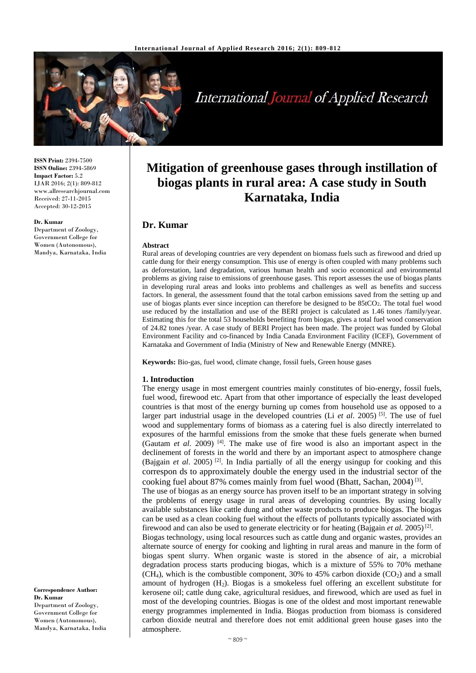

# **International Journal of Applied Research**

**ISSN Print:** 2394-7500 **ISSN Online:** 2394-5869 **Impact Factor:** 5.2 IJAR 2016; 2(1): 809-812 www.allresearchjournal.com Received: 27-11-2015 Accepted: 30-12-2015

#### **Dr. Kumar**

Department of Zoology, Government College for Women (Autonomous), Mandya, Karnataka, India **Mitigation of greenhouse gases through instillation of biogas plants in rural area: A case study in South Karnataka, India**

## **Dr. Kumar**

#### **Abstract**

Rural areas of developing countries are very dependent on biomass fuels such as firewood and dried up cattle dung for their energy consumption. This use of energy is often coupled with many problems such as deforestation, land degradation, various human health and socio economical and environmental problems as giving raise to emissions of greenhouse gases. This report assesses the use of biogas plants in developing rural areas and looks into problems and challenges as well as benefits and success factors. In general, the assessment found that the total carbon emissions saved from the setting up and use of biogas plants ever since inception can therefore be designed to be 85tCO2. The total fuel wood use reduced by the installation and use of the BERI project is calculated as 1.46 tones /family/year. Estimating this for the total 53 households benefiting from biogas, gives a total fuel wood conservation of 24.82 tones /year. A case study of BERI Project has been made. The project was funded by Global Environment Facility and co-financed by India Canada Environment Facility (ICEF), Government of Karnataka and Government of India (Ministry of New and Renewable Energy (MNRE).

**Keywords:** Bio-gas, fuel wood, climate change, fossil fuels, Green house gases

#### **1. Introduction**

The energy usage in most emergent countries mainly constitutes of bio-energy, fossil fuels, fuel wood, firewood etc. Apart from that other importance of especially the least developed countries is that most of the energy burning up comes from household use as opposed to a larger part industrial usage in the developed countries (Li *et al.* 2005)<sup>[5]</sup>. The use of fuel wood and supplementary forms of biomass as a catering fuel is also directly interrelated to exposures of the harmful emissions from the smoke that these fuels generate when burned (Gautam *et al*. 2009) [4] . The make use of fire wood is also an important aspect in the declinement of forests in the world and there by an important aspect to atmosphere change (Bajgain *et al*. 2005) [2] . In India partially of all the energy usingup for cooking and this correspon ds to approximately double the energy used in the industrial sector of the cooking fuel about 87% comes mainly from fuel wood (Bhatt, Sachan, 2004)<sup>[3]</sup>.

The use of biogas as an energy source has proven itself to be an important strategy in solving the problems of energy usage in rural areas of developing countries. By using locally available substances like cattle dung and other waste products to produce biogas. The biogas can be used as a clean cooking fuel without the effects of pollutants typically associated with firewood and can also be used to generate electricity or for heating (Bajgain *et al.* 2005)<sup>[2]</sup>.

Biogas technology, using local resources such as cattle dung and organic wastes, provides an alternate source of energy for cooking and lighting in rural areas and manure in the form of biogas spent slurry. When organic waste is stored in the absence of air, a microbial degradation process starts producing biogas, which is a mixture of 55% to 70% methane  $(CH<sub>4</sub>)$ , which is the combustible component, 30% to 45% carbon dioxide  $(CO<sub>2</sub>)$  and a small amount of hydrogen (H2). Biogas is a smokeless fuel offering an excellent substitute for kerosene oil; cattle dung cake, agricultural residues, and firewood, which are used as fuel in most of the developing countries. Biogas is one of the oldest and most important renewable energy programmes implemented in India. Biogas production from biomass is considered carbon dioxide neutral and therefore does not emit additional green house gases into the atmosphere.

**Correspondence Author: Dr. Kumar** Department of Zoology, Government College for Women (Autonomous), Mandya, Karnataka, India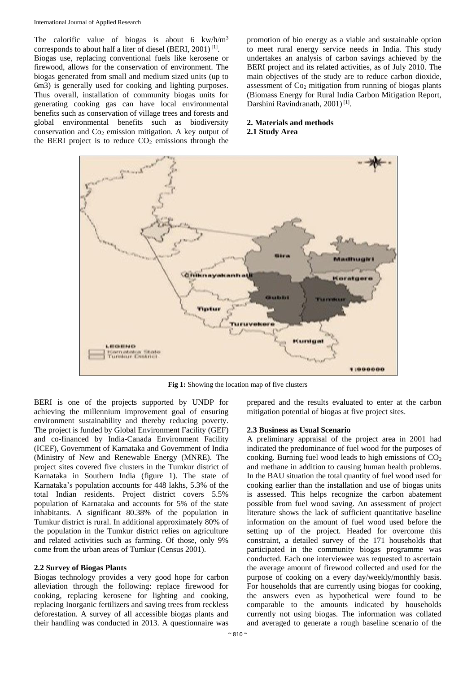#### International Journal of Applied Research

The calorific value of biogas is about 6  $\text{kw/h/m}^3$ corresponds to about half a liter of diesel (BERI, 2001)<sup>[1]</sup>. Biogas use, replacing conventional fuels like kerosene or firewood, allows for the conservation of environment. The biogas generated from small and medium sized units (up to 6m3) is generally used for cooking and lighting purposes. Thus overall, installation of community biogas units for generating cooking gas can have local environmental benefits such as conservation of village trees and forests and global environmental benefits such as biodiversity conservation and  $Co<sub>2</sub>$  emission mitigation. A key output of the BERI project is to reduce  $CO<sub>2</sub>$  emissions through the

promotion of bio energy as a viable and sustainable option to meet rural energy service needs in India. This study undertakes an analysis of carbon savings achieved by the BERI project and its related activities, as of July 2010. The main objectives of the study are to reduce carbon dioxide, assessment of  $Co<sub>2</sub>$  mitigation from running of biogas plants (Biomass Energy for Rural India Carbon Mitigation Report, Darshini Ravindranath, 2001)<sup>[1]</sup>.

### **2. Materials and methods 2.1 Study Area**



**Fig 1:** Showing the location map of five clusters

BERI is one of the projects supported by UNDP for achieving the millennium improvement goal of ensuring environment sustainability and thereby reducing poverty. The project is funded by Global Environment Facility (GEF) and co-financed by India-Canada Environment Facility (ICEF), Government of Karnataka and Government of India (Ministry of New and Renewable Energy (MNRE). The project sites covered five clusters in the Tumkur district of Karnataka in Southern India (figure 1). The state of Karnataka's population accounts for 448 lakhs, 5.3% of the total Indian residents. Project district covers 5.5% population of Karnataka and accounts for 5% of the state inhabitants. A significant 80.38% of the population in Tumkur district is rural. In additional approximately 80% of the population in the Tumkur district relies on agriculture and related activities such as farming. Of those, only 9% come from the urban areas of Tumkur (Census 2001).

#### **2.2 Survey of Biogas Plants**

Biogas technology provides a very good hope for carbon alleviation through the following: replace firewood for cooking, replacing kerosene for lighting and cooking, replacing Inorganic fertilizers and saving trees from reckless deforestation. A survey of all accessible biogas plants and their handling was conducted in 2013. A questionnaire was

prepared and the results evaluated to enter at the carbon mitigation potential of biogas at five project sites.

#### **2.3 Business as Usual Scenario**

A preliminary appraisal of the project area in 2001 had indicated the predominance of fuel wood for the purposes of cooking. Burning fuel wood leads to high emissions of  $CO<sub>2</sub>$ and methane in addition to causing human health problems. In the BAU situation the total quantity of fuel wood used for cooking earlier than the installation and use of biogas units is assessed. This helps recognize the carbon abatement possible from fuel wood saving. An assessment of project literature shows the lack of sufficient quantitative baseline information on the amount of fuel wood used before the setting up of the project. Headed for overcome this constraint, a detailed survey of the 171 households that participated in the community biogas programme was conducted. Each one interviewee was requested to ascertain the average amount of firewood collected and used for the purpose of cooking on a every day/weekly/monthly basis. For households that are currently using biogas for cooking, the answers even as hypothetical were found to be comparable to the amounts indicated by households currently not using biogas. The information was collated and averaged to generate a rough baseline scenario of the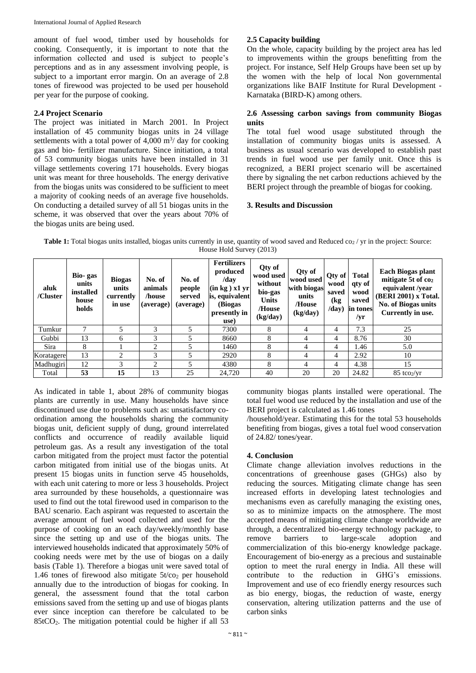amount of fuel wood, timber used by households for cooking. Consequently, it is important to note that the information collected and used is subject to people's perceptions and as in any assessment involving people, is subject to a important error margin. On an average of 2.8 tones of firewood was projected to be used per household per year for the purpose of cooking.

## **2.4 Project Scenario**

The project was initiated in March 2001. In Project installation of 45 community biogas units in 24 village settlements with a total power of  $4,000 \text{ m}^3$  day for cooking gas and bio- fertilizer manufacture. Since initiation, a total of 53 community biogas units have been installed in 31 village settlements covering 171 households. Every biogas unit was meant for three households. The energy derivative from the biogas units was considered to be sufficient to meet a majority of cooking needs of an average five households. On conducting a detailed survey of all 51 biogas units in the scheme, it was observed that over the years about 70% of the biogas units are being used.

## **2.5 Capacity building**

On the whole, capacity building by the project area has led to improvements within the groups benefitting from the project. For instance, Self Help Groups have been set up by the women with the help of local Non governmental organizations like BAIF Institute for Rural Development - Karnataka (BIRD-K) among others.

## **2.6 Assessing carbon savings from community Biogas units**

The total fuel wood usage substituted through the installation of community biogas units is assessed. A business as usual scenario was developed to establish past trends in fuel wood use per family unit. Once this is recognized, a BERI project scenario will be ascertained there by signaling the net carbon reductions achieved by the BERI project through the preamble of biogas for cooking.

## **3. Results and Discussion**

**Table 1:** Total biogas units installed, biogas units currently in use, quantity of wood saved and Reduced co<sub>2</sub> / yr in the project: Source: House Hold Survey (2013)

| aluk<br>/Cluster | Bio-gas<br>units<br>installed<br>house<br>holds | <b>Biogas</b><br>units<br>currently<br>in use | No. of<br>animals<br>/house<br>(average) | No. of<br>people<br>served<br>(average) | <b>Fertilizers</b><br>produced<br>/day<br>(in kg) x1 yr<br>is, equivalent<br>(Biogas)<br>presently in<br>use) | Qty of<br>wood used<br>without<br>bio-gas<br><b>Units</b><br>/House<br>(kg/day) | Qty of<br>wood used<br>with biogas<br>units<br>/House<br>(kg/day) | Qty of<br>wood<br>saved<br>(kg<br>$\langle$ day $\rangle$ | <b>Total</b><br>qty of<br>wood<br>saved<br>in tones<br>/yr | <b>Each Biogas plant</b><br>mitigate 5t of co <sub>2</sub><br>equivalent /year<br>(BERI 2001) x Total.<br>No. of Biogas units<br>Currently in use. |
|------------------|-------------------------------------------------|-----------------------------------------------|------------------------------------------|-----------------------------------------|---------------------------------------------------------------------------------------------------------------|---------------------------------------------------------------------------------|-------------------------------------------------------------------|-----------------------------------------------------------|------------------------------------------------------------|----------------------------------------------------------------------------------------------------------------------------------------------------|
| Tumkur           |                                                 |                                               | 3                                        | 5                                       | 7300                                                                                                          | 8                                                                               | 4                                                                 | 4                                                         | 7.3                                                        | 25                                                                                                                                                 |
| Gubbi            | 13                                              | 6                                             | 3                                        |                                         | 8660                                                                                                          | 8                                                                               | 4                                                                 | 4                                                         | 8.76                                                       | 30                                                                                                                                                 |
| Sira             | 8                                               |                                               | 2                                        |                                         | 1460                                                                                                          | 8                                                                               | $\overline{4}$                                                    | 4                                                         | 1.46                                                       | 5.0                                                                                                                                                |
| Koratagere       | 13                                              | 2                                             | 3                                        | 5                                       | 2920                                                                                                          | 8                                                                               | 4                                                                 | 4                                                         | 2.92                                                       | 10                                                                                                                                                 |
| Madhugiri        | 12                                              | 3                                             | 2                                        | 5                                       | 4380                                                                                                          | 8                                                                               | 4                                                                 | 4                                                         | 4.38                                                       | 15                                                                                                                                                 |
| Total            | 53                                              | 15                                            | 13                                       | 25                                      | 24,720                                                                                                        | 40                                                                              | 20                                                                | 20                                                        | 24.82                                                      | $85 \text{ }$ tco $\frac{1}{x}$                                                                                                                    |

As indicated in table 1, about 28% of community biogas plants are currently in use. Many households have since discontinued use due to problems such as: unsatisfactory coordination among the households sharing the community biogas unit, deficient supply of dung, ground interrelated conflicts and occurrence of readily available liquid petroleum gas. As a result any investigation of the total carbon mitigated from the project must factor the potential carbon mitigated from initial use of the biogas units. At present 15 biogas units in function serve 45 households, with each unit catering to more or less 3 households. Project area surrounded by these households, a questionnaire was used to find out the total firewood used in comparison to the BAU scenario. Each aspirant was requested to ascertain the average amount of fuel wood collected and used for the purpose of cooking on an each day/weekly/monthly base since the setting up and use of the biogas units. The interviewed households indicated that approximately 50% of cooking needs were met by the use of biogas on a daily basis (Table 1). Therefore a biogas unit were saved total of 1.46 tones of firewood also mitigate  $5t/\text{co}_2$  per household annually due to the introduction of biogas for cooking. In general, the assessment found that the total carbon emissions saved from the setting up and use of biogas plants ever since inception can therefore be calculated to be 85tCO2. The mitigation potential could be higher if all 53

community biogas plants installed were operational. The total fuel wood use reduced by the installation and use of the BERI project is calculated as 1.46 tones

/household/year. Estimating this for the total 53 households benefiting from biogas, gives a total fuel wood conservation of 24.82/ tones/year.

## **4. Conclusion**

Climate change alleviation involves reductions in the concentrations of greenhouse gases (GHGs) also by reducing the sources. Mitigating climate change has seen increased efforts in developing latest technologies and mechanisms even as carefully managing the existing ones, so as to minimize impacts on the atmosphere. The most accepted means of mitigating climate change worldwide are through, a decentralized bio-energy technology package, to remove barriers to large-scale adoption and commercialization of this bio-energy knowledge package. Encouragement of bio-energy as a precious and sustainable option to meet the rural energy in India. All these will contribute to the reduction in GHG's emissions. Improvement and use of eco friendly energy resources such as bio energy, biogas, the reduction of waste, energy conservation, altering utilization patterns and the use of carbon sinks